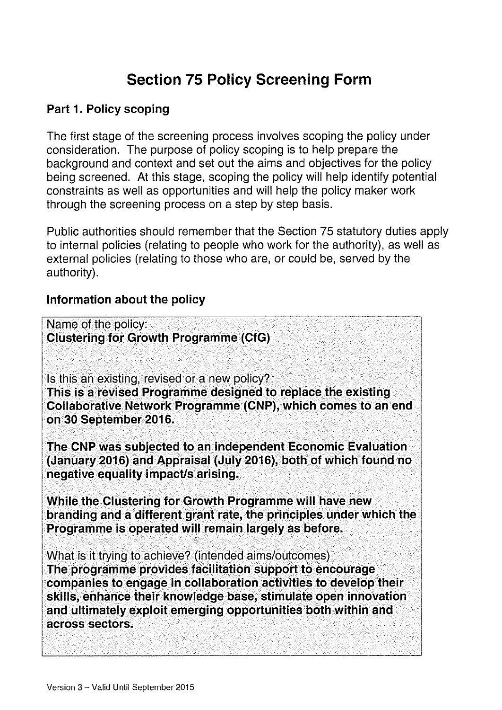# Section 75 Policy Screening Form

#### Part 1. Policy scoping

The first stage of the screening process involves scoping the policy under consideration. The purpose of policy scoping is to help prepare the background and context and set out the aims and objectives for the policy being screened. At this stage, scoping the policy will help identify potential constraints as well as opportunities and will help the policy maker work through the screening process on a step by step basis.

Public authorities should remember that the Section 75 statutory duties apply to internal policies (relating to people who work for the authority), as well as external policies (relating to those who are, or could be, served by the authority).

#### Information about the policy

Name of the policy: clustering for Growth Programme (CfG)

Is this an existing, revised or a new policy? This is a revised Programme designed to replace the existing collaborative Network Programme (cNP), which comes to an end on 30 September 2016.

The CNP was subjected to an independent Economic Evaluation (January 2016) and Appraisal (July 2016), both of which found no negative equality impact/s arising.

While the clustering for Growth Programme will have new branding and a different grant rate, the principles under which the Programme is operated will remain largely as before.

What is it trying to achieve? (intended aims/outcomes) The programme provides facilitation support to encourage companies to engage in collaboration activities to develop their skills, enhance their knowledge base, stimulate open innovation and ultimately exploit emerging opportunities both within and across sectors.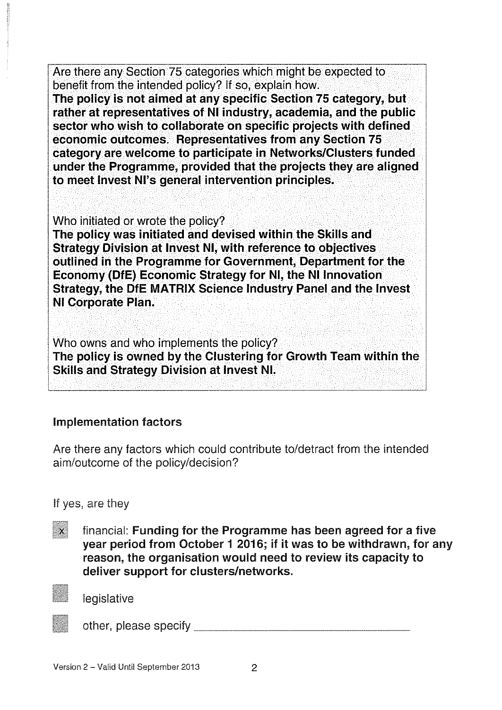Are there any Section 75 categories which might be expected to benefit from the intended policy? If so, explain how.

The policy is not aimed at any specific Section 75 category, but rather at representatives of NI industry, academia, and the public sector who wish to collaborate on specific projects with defined economic outcomes. Representatives from any Section 75 category are welcome to participate in Networks/Clusters funded under the Programme, provided that the projects they are aligned to meet Invest Ni's general intervention principles.

Who initiated or wrote the policy?

The policy was initiated and devised within the Skills and Strategy Division at invest Ni, with reference to objectives outlined in the Programme for Government, Department for the Economy (OfE) Economic Strategy for NI, the Ni innovation Strategy, the OfE MATRIX Science industry Panel and the Invest Ni Corporate Plan.

Who owns and who implements the policy? The policy is owned by the Clustering for Growth Team within the Skills and Strategy Division at invest NI.

### Implementation factors

Are there any factors which could contribute to/detract from the intended aim/outcome of the policy/decision?

If yes, are they

 $\boldsymbol{\chi}$ financial: Funding for the Programme has been agreed for a five year period from October <sup>1</sup> 2016; if it was to be withdrawn, for any reason, the organisation would need to review its capacity to deliver support for clusters/networks.



legislative

other, please specify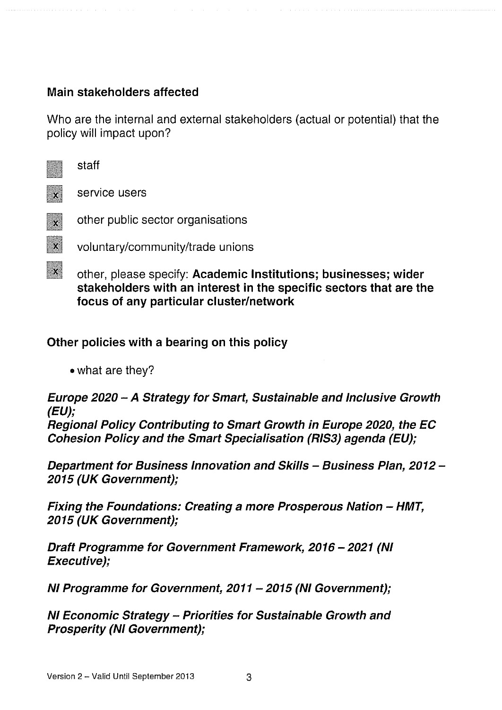#### Main stakeholders affected

Who are the internal and external stakeholders (actual or potential) that the policy will impact upon?

|                         | other, please specify: Academic Institutions; businesses; wider<br>stakeholders with an interest in the specific sectors that are the<br>focus of any particular cluster/network |
|-------------------------|----------------------------------------------------------------------------------------------------------------------------------------------------------------------------------|
| $\mathbf{x}$            | voluntary/community/trade unions                                                                                                                                                 |
| $\overline{\mathbf{x}}$ | other public sector organisations                                                                                                                                                |
|                         | service users                                                                                                                                                                    |
|                         | staff                                                                                                                                                                            |

#### Other policies with a bearing on this policy

• what are they?

Europe 2020 — A Strategy for Smart, Sustainable and Inclusive Growth (EU);

Regional Policy Contributing to Smart Growth in Europe 2020, the EC Cohesion Policy and the Smart Specialisation (RIS3) agenda (EU);

Department for Business Innovation and Skills — Business Plan, 2012 — 2015 (UK Government);

Fixing the Foundations: Creating a more Prosperous Nation — HMT, 2015 (UK Government);

Draft Programme for Government Framework, 2016 —2021 (NI Executive);

NI Programme for Government, 2011 — 2015 (NI Government);

NI Economic Strategy — Priorities for Sustainable Growth and Prosperity (NI Government);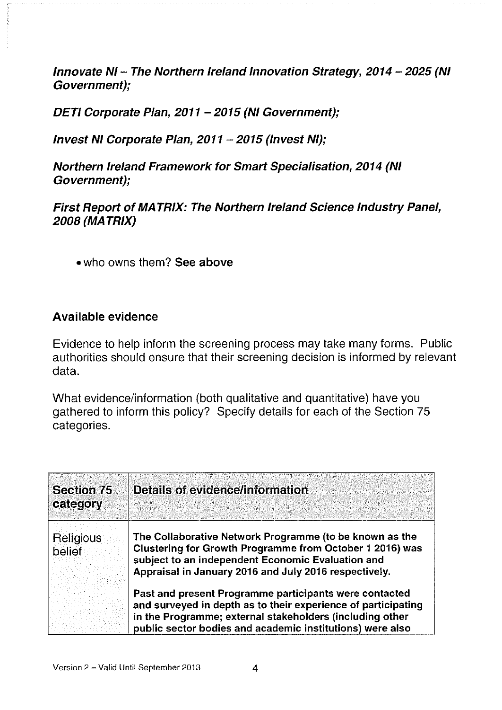Innovate NI — The Northern Ireland Innovation Strategy, 2014 — 2025 (NI Government);

DETI Corporate Plan, 2011 —2015 (NI Government);

Invest NI Corporate Plan, 2011 — 2015 (Invest NI);

Northern Ireland Framework for Smart Specialisation, 2014 (NI Government);

First Report of MATRIX: The Northern Ireland Science Industry Panel, 2008 (MA TRIX)

• who owns them? See above

#### Available evidence

Evidence to help inform the screening process may take many forms. Public authorities should ensure that their screening decision is informed by relevant data.

What evidence/information (both qualitative and quantitative) have you gathered to inform this policy? Specify details for each of the Section 75 categories.

| <b>Section 75</b><br>category | <b>Details of evidence/information</b>                                                                                                                                                                                                           |
|-------------------------------|--------------------------------------------------------------------------------------------------------------------------------------------------------------------------------------------------------------------------------------------------|
| Religious<br>belief           | The Collaborative Network Programme (to be known as the<br>Clustering for Growth Programme from October 1 2016) was<br>subject to an independent Economic Evaluation and<br>Appraisal in January 2016 and July 2016 respectively.                |
|                               | Past and present Programme participants were contacted<br>and surveyed in depth as to their experience of participating<br>in the Programme; external stakeholders (including other<br>public sector bodies and academic institutions) were also |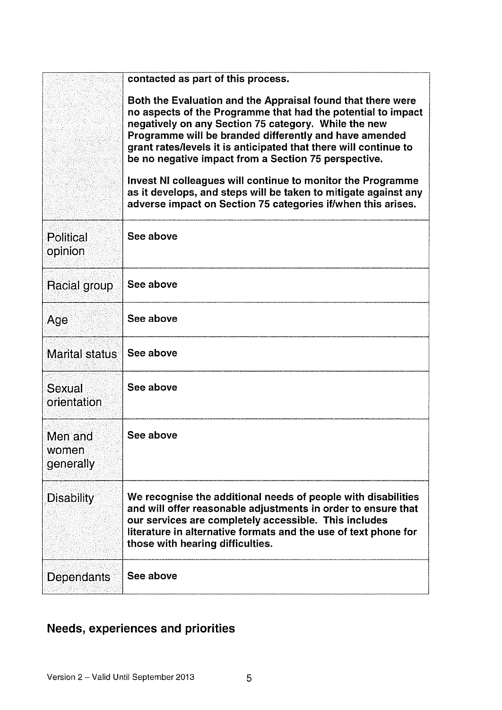| contacted as part of this process. |                                                                                                                                                                                                                                                                                                                                                                                                                                                                                                                                                                             |  |
|------------------------------------|-----------------------------------------------------------------------------------------------------------------------------------------------------------------------------------------------------------------------------------------------------------------------------------------------------------------------------------------------------------------------------------------------------------------------------------------------------------------------------------------------------------------------------------------------------------------------------|--|
|                                    | Both the Evaluation and the Appraisal found that there were<br>no aspects of the Programme that had the potential to impact<br>negatively on any Section 75 category. While the new<br>Programme will be branded differently and have amended<br>grant rates/levels it is anticipated that there will continue to<br>be no negative impact from a Section 75 perspective.<br>Invest NI colleagues will continue to monitor the Programme<br>as it develops, and steps will be taken to mitigate against any<br>adverse impact on Section 75 categories if/when this arises. |  |
| <b>Political</b><br>opinion        | See above                                                                                                                                                                                                                                                                                                                                                                                                                                                                                                                                                                   |  |
| Racial group                       | See above                                                                                                                                                                                                                                                                                                                                                                                                                                                                                                                                                                   |  |
| Age                                | See above                                                                                                                                                                                                                                                                                                                                                                                                                                                                                                                                                                   |  |
| <b>Marital status</b>              | See above                                                                                                                                                                                                                                                                                                                                                                                                                                                                                                                                                                   |  |
| <b>Sexual</b><br>orientation       | See above                                                                                                                                                                                                                                                                                                                                                                                                                                                                                                                                                                   |  |
| Men and<br>women<br>generally      | See above                                                                                                                                                                                                                                                                                                                                                                                                                                                                                                                                                                   |  |
| <b>Disability</b>                  | We recognise the additional needs of people with disabilities<br>and will offer reasonable adjustments in order to ensure that<br>our services are completely accessible. This includes<br>literature in alternative formats and the use of text phone for<br>those with hearing difficulties.                                                                                                                                                                                                                                                                              |  |
| Dependants                         | See above                                                                                                                                                                                                                                                                                                                                                                                                                                                                                                                                                                   |  |

## Needs, experiences and priorities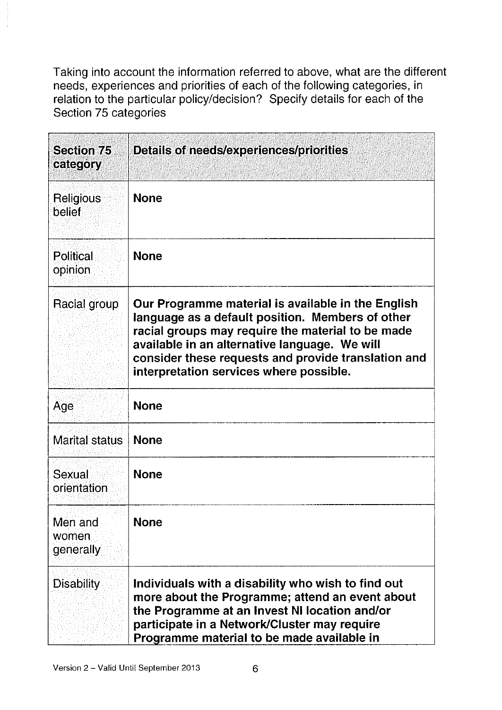Taking into account the information referred to above, what are the different needs, experiences and priorities of each of the following categories, in relation to the particular policy/decision? Specify details for each of the Section 75 categories

| <b>Section 75</b><br>category | Details of needs/experiences/priorities                                                                                                                                                                                                                                                                        |
|-------------------------------|----------------------------------------------------------------------------------------------------------------------------------------------------------------------------------------------------------------------------------------------------------------------------------------------------------------|
| Religious<br>belief           | <b>None</b>                                                                                                                                                                                                                                                                                                    |
| Political<br>opinion          | <b>None</b>                                                                                                                                                                                                                                                                                                    |
| Racial group                  | Our Programme material is available in the English<br>language as a default position. Members of other<br>racial groups may require the material to be made<br>available in an alternative language. We will<br>consider these requests and provide translation and<br>interpretation services where possible. |
| Age                           | <b>None</b>                                                                                                                                                                                                                                                                                                    |
| Marital status                | <b>None</b>                                                                                                                                                                                                                                                                                                    |
| Sexual<br>orientation         | <b>None</b>                                                                                                                                                                                                                                                                                                    |
| Men and<br>women<br>generally | <b>None</b>                                                                                                                                                                                                                                                                                                    |
| <b>Disability</b>             | Individuals with a disability who wish to find out<br>more about the Programme; attend an event about<br>the Programme at an Invest NI location and/or<br>participate in a Network/Cluster may require<br>Programme material to be made available in                                                           |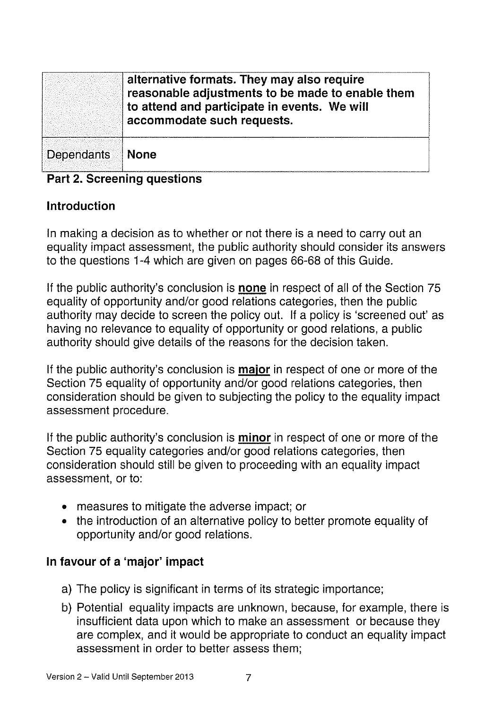|            | alternative formats. They may also require<br>reasonable adjustments to be made to enable them<br>to attend and participate in events. We will<br>accommodate such requests. |
|------------|------------------------------------------------------------------------------------------------------------------------------------------------------------------------------|
| Dependants | <b>None</b>                                                                                                                                                                  |

#### Part 2. Screening questions

#### Introduction

In making a decision as to whether or not there is a need to carry out an equality impact assessment, the public authority should consider its answers to the questions 1-4 which are given on pages 66-68 of this Guide.

If the public authority's conclusion is none in respect of all of the Section 75 equality of opportunity and/or good relations categories, then the public authority may decide to screen the policy out. If a policy is 'screened out' as having no relevance to equality of opportunity or good relations, a public authority should give details of the reasons for the decision taken.

If the public authority's conclusion is major in respect of one or more of the Section 75 equality of opportunity and/or good relations categories, then consideration should be given to subjecting the policy to the equality impact assessment procedure.

If the public authority's conclusion is minor in respect of one or more of the Section 75 equality categories and/or good relations categories, then consideration should still be given to proceeding with an equality impact assessment, or to:

- measures to mitigate the adverse impact; or
- the introduction of an alternative policy to better promote equality of opportunity and/or good relations.

#### In favour of a 'major' impact

- a) The policy is significant in terms of its strategic importance;
- b) Potential equality impacts are unknown, because, for example, there is insufficient data upon which to make an assessment or because they are complex, and it would be appropriate to conduct an equality impact assessment in order to better assess them;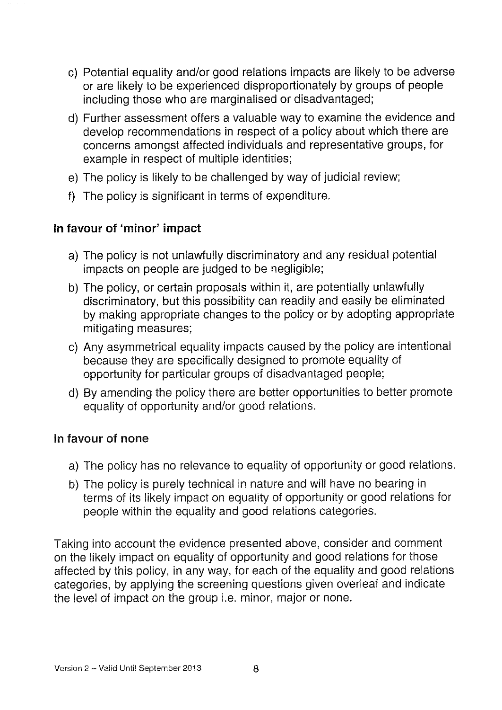- c) Potential equality and/or good relations impacts are likely to be adverse or are likely to be experienced disproportionately by groups of people including those who are marginalised or disadvantaged;
- d) Further assessment offers a valuable way to examine the evidence and develop recommendations in respect of a policy about which there are concerns amongst affected individuals and representative groups, for example in respect of multiple identities;
- e) The policy is likely to be challenged by way of judicial review;
- f) The policy is significant in terms of expenditure.

#### In favour of 'minor' impact

- a) The policy is not unlawfully discriminatory and any residual potential impacts on people are judged to be negligible;
- b) The policy, or certain proposals within it, are potentially unlawfully discriminatory, but this possibility can readily and easily be eliminated by making appropriate changes to the policy or by adopting appropriate mitigating measures;
- c) Any asymmetrical equality impacts caused by the policy are intentional because they are specifically designed to promote equality of opportunity for particular groups of disadvantaged people;
- d) By amending the policy there are better opportunities to better promote equality of opportunity and/or good relations.

#### In favour of none

- a) The policy has no relevance to equality of opportunity or good relations.
- b) The policy is purely technical in nature and will have no bearing in terms of its likely impact on equality of opportunity or good relations for people within the equality and good relations categories.

Taking into account the evidence presented above, consider and comment on the likely impact on equality of opportunity and good relations for those affected by this policy, in any way, for each of the equality and good relations categories, by applying the screening questions given overleaf and indicate the level of impact on the group i.e. minor, major or none.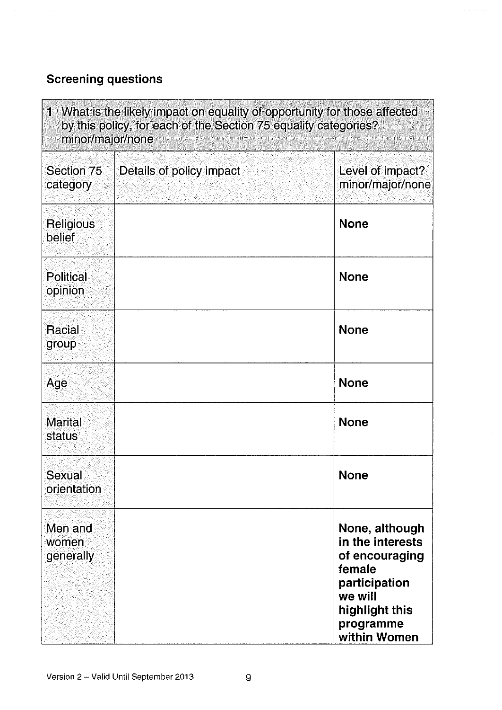### Screening questions

| $\mathbf{1}$<br>What is the likely impact on equality of opportunity for those affected<br>by this policy, for each of the Section 75 equality categories?<br>minor/major/none |                          |                                                                                                                                           |
|--------------------------------------------------------------------------------------------------------------------------------------------------------------------------------|--------------------------|-------------------------------------------------------------------------------------------------------------------------------------------|
| Section 75<br>category                                                                                                                                                         | Details of policy impact | Level of impact?<br>minor/major/none                                                                                                      |
| <b>Religious</b><br>belief                                                                                                                                                     |                          | <b>None</b>                                                                                                                               |
| <b>Political</b><br>opinion                                                                                                                                                    |                          | <b>None</b>                                                                                                                               |
| Racial<br>group                                                                                                                                                                |                          | <b>None</b>                                                                                                                               |
| Age                                                                                                                                                                            |                          | <b>None</b>                                                                                                                               |
| <b>Marital</b><br>status                                                                                                                                                       |                          | <b>None</b>                                                                                                                               |
| <b>Sexual</b><br>orientation                                                                                                                                                   |                          | <b>None</b>                                                                                                                               |
| Men and<br>women<br>generally                                                                                                                                                  |                          | None, although<br>in the interests<br>of encouraging<br>female<br>participation<br>we will<br>highlight this<br>programme<br>within Women |

 $\mathcal{L}^{\pm}$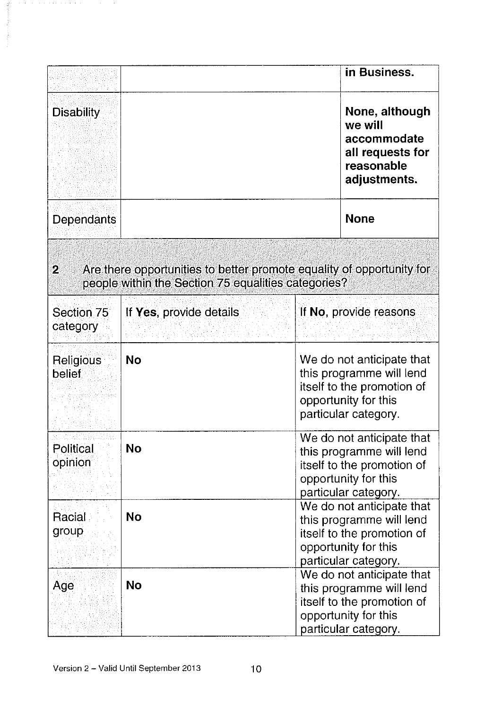|                            |                                                                                                                              | in Business.                                                                                                                        |  |
|----------------------------|------------------------------------------------------------------------------------------------------------------------------|-------------------------------------------------------------------------------------------------------------------------------------|--|
| <b>Disability</b>          |                                                                                                                              | None, although<br>we will<br>accommodate<br>all requests for<br>reasonable<br>adjustments.                                          |  |
| Dependants                 |                                                                                                                              | <b>None</b>                                                                                                                         |  |
| $\overline{2}$             | Are there opportunities to better promote equality of opportunity for<br>people within the Section 75 equalities categories? |                                                                                                                                     |  |
| Section 75<br>category     | If Yes, provide details                                                                                                      | If No, provide reasons                                                                                                              |  |
| Religious<br><b>belief</b> | <b>No</b>                                                                                                                    | We do not anticipate that<br>this programme will lend<br>itself to the promotion of<br>opportunity for this<br>particular category. |  |
| Political<br>opinion       | <b>No</b>                                                                                                                    | We do not anticipate that<br>this programme will lend<br>itself to the promotion of<br>opportunity for this<br>particular category. |  |
| Racial<br>group            | <b>No</b>                                                                                                                    | We do not anticipate that<br>this programme will lend<br>itself to the promotion of<br>opportunity for this<br>particular category. |  |
| Age                        | <b>No</b>                                                                                                                    | We do not anticipate that<br>this programme will lend<br>itself to the promotion of<br>opportunity for this<br>particular category. |  |

 $\alpha$  ,  $\alpha$  ,  $\alpha$  ,  $\alpha$  ,  $\alpha$  ,  $\alpha$  ,  $\alpha$  ,  $\alpha$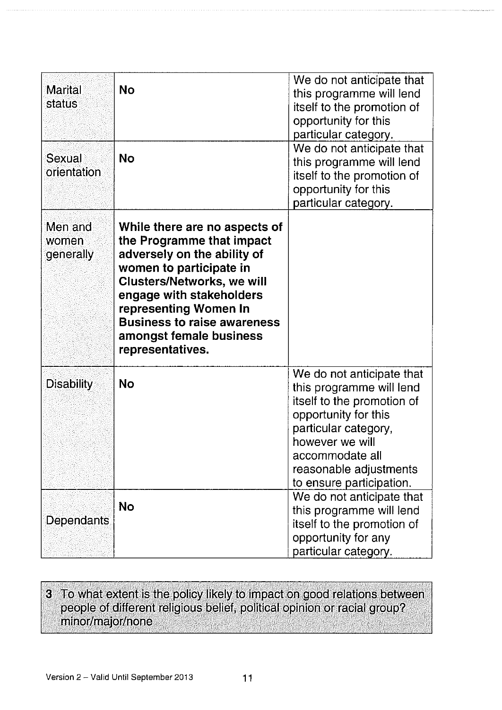| <b>Marital</b><br>status<br>Sexual<br>orientation | <b>No</b><br><b>No</b>                                                                                                                                                                                                                                                                              | We do not anticipate that<br>this programme will lend<br>itself to the promotion of<br>opportunity for this<br>particular category.<br>We do not anticipate that<br>this programme will lend<br>itself to the promotion of<br>opportunity for this<br>particular category. |
|---------------------------------------------------|-----------------------------------------------------------------------------------------------------------------------------------------------------------------------------------------------------------------------------------------------------------------------------------------------------|----------------------------------------------------------------------------------------------------------------------------------------------------------------------------------------------------------------------------------------------------------------------------|
| Men and<br>women<br>generally                     | While there are no aspects of<br>the Programme that impact<br>adversely on the ability of<br>women to participate in<br><b>Clusters/Networks, we will</b><br>engage with stakeholders<br>representing Women In<br><b>Business to raise awareness</b><br>amongst female business<br>representatives. |                                                                                                                                                                                                                                                                            |
| <b>Disability</b>                                 | <b>No</b>                                                                                                                                                                                                                                                                                           | We do not anticipate that<br>this programme will lend<br>itself to the promotion of<br>opportunity for this<br>particular category,<br>however we will<br>accommodate all<br>reasonable adjustments<br>to ensure participation.                                            |
| Dependants                                        | <b>No</b>                                                                                                                                                                                                                                                                                           | We do not anticipate that<br>this programme will lend<br>itself to the promotion of<br>opportunity for any<br>particular category.                                                                                                                                         |

#### 3 To what extent is the policy likely to impact on good relations between people of different religious belief, political opinion or racial group? minor/major/none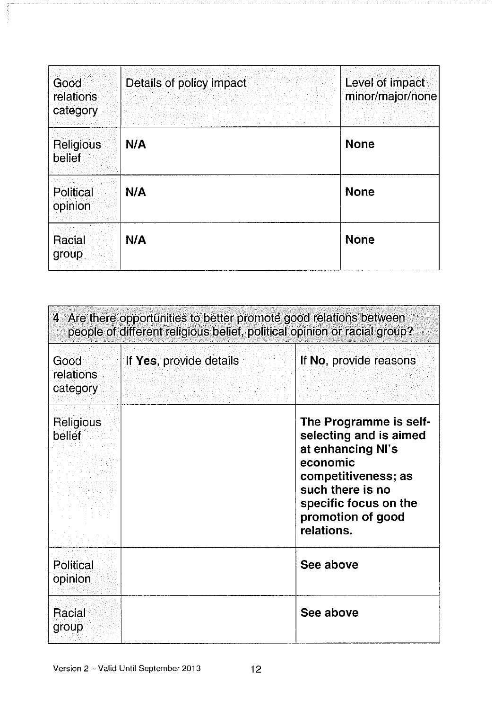| Good<br>relations<br>category | Details of policy impact | Level of impact<br>minor/major/none |
|-------------------------------|--------------------------|-------------------------------------|
| <b>Religious</b><br>belief    | N/A                      | <b>None</b>                         |
| Political<br>opinion          | N/A                      | <b>None</b>                         |
| Racial<br>group               | N/A                      | <b>None</b>                         |

| 4 Are there opportunities to better promote good relations between<br>people of different religious belief, political opinion or racial group? |                         |                                                                                                                                                                                          |  |
|------------------------------------------------------------------------------------------------------------------------------------------------|-------------------------|------------------------------------------------------------------------------------------------------------------------------------------------------------------------------------------|--|
| Good<br>relations<br>category                                                                                                                  | If Yes, provide details | If No, provide reasons                                                                                                                                                                   |  |
| Religious<br>belief                                                                                                                            |                         | The Programme is self-<br>selecting and is aimed<br>at enhancing NI's<br>economic<br>competitiveness; as<br>such there is no<br>specific focus on the<br>promotion of good<br>relations. |  |
| Political<br>opinion                                                                                                                           |                         | See above                                                                                                                                                                                |  |
| Racial<br>group                                                                                                                                |                         | See above                                                                                                                                                                                |  |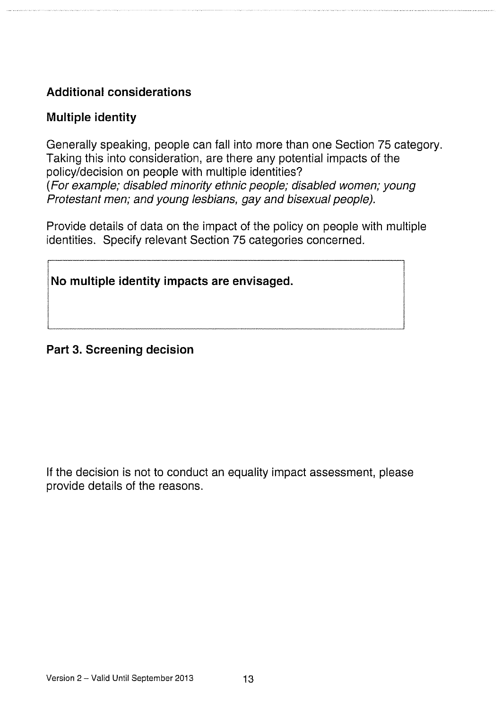### Additional considerations

#### Multiple identity

Generally speaking, people can fall into more than one Section 75 category. Taking this into consideration, are there any potential impacts of the policy/decision on people with multiple identities? (For example; disabled minority ethnic people; disabled women; young Protestant men; and young lesbians, gay and bisexual people).

Provide details of data on the impact of the policy on people with multiple identities. Specify relevant Section 75 categories concerned.

No multiple identity impacts are envisaged.

#### Part 3. Screening decision

If the decision is not to conduct an equality impact assessment, please provide details of the reasons.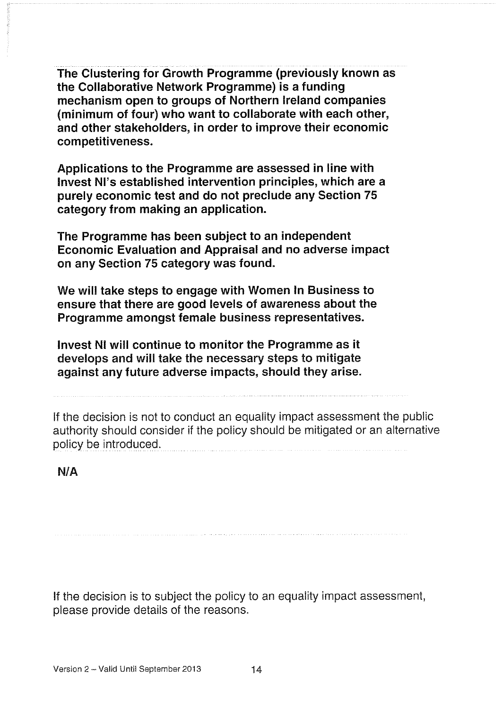The Clustering for Growth Programme (previously known as the Collaborative Network Programme) is a funding mechanism open to groups of Northern Ireland companies (minimum of four) who want to collaborate with each other, and other stakeholders, in order to improve their economic competitiveness.

Applications to the Programme are assessed in line with Invest NI's established intervention principles, which are a purely economic test and do not preclude any Section 75 category from making an application.

The Programme has been subject to an independent Economic Evaluation and Appraisal and no adverse impact on any Section 75 category was found.

We will take steps to engage with Women In Business to ensure that there are good levels of awareness about the Programme amongst female business representatives.

Invest NI will continue to monitor the Programme as it develops and will take the necessary steps to mitigate against any future adverse impacts, should they arise.

If the decision is not to conduct an equality impact assessment the public authority should consider if the policy should be mitigated or an alternative policy be introduced.

N/A

If the decision is to subject the policy to an equality impact assessment, please provide details of the reasons.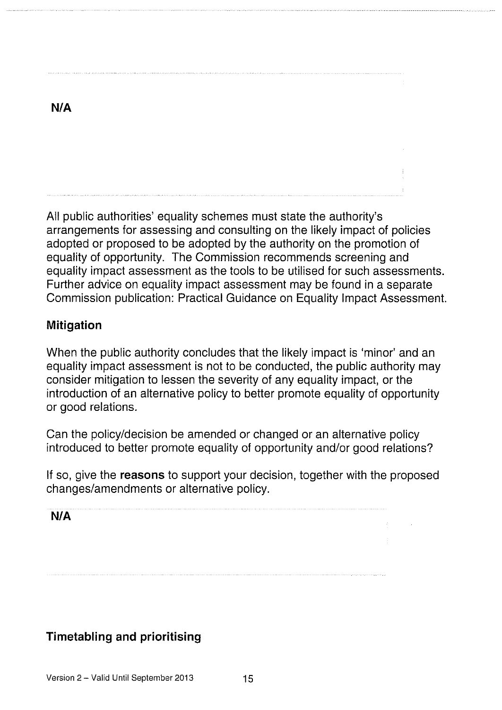All public authorities' equality schemes must state the authority's arrangements for assessing and consulting on the likely impact of policies adopted or proposed to be adopted by the authority on the promotion of equality of opportunity. The Commission recommends screening and equality impact assessment as the tools to be utilised for such assessments. Further advice on equality impact assessment may be found in a separate Commission publication: Practical Guidance on Equality Impact Assessment.

#### Mitigation

When the public authority concludes that the likely impact is 'minor' and an equality impact assessment is not to be conducted, the public authority may consider mitigation to lessen the severity of any equality impact, or the introduction of an alternative policy to better promote equality of opportunity or good relations.

Can the policy/decision be amended or changed or an alternative policy introduced to better promote equality of opportunity and/or good relations?

If so, give the reasons to support your decision, together with the proposed changes/amendments or alternative policy.

N/A

#### Timetabling and prioritising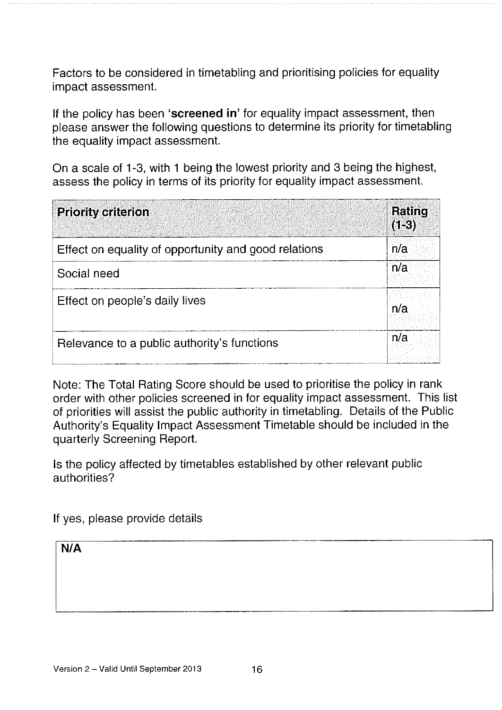Factors to be considered in timetabling and prioritising policies for equality impact assessment.

If the policy has been 'screened in' for equality impact assessment, then please answer the following questions to determine its priority for timetabling the equality impact assessment.

On a scale of 1-3, with <sup>1</sup> being the lowest priority and 3 being the highest, assess the policy in terms of its priority for equality impact assessment.

| <b>Priority criterion</b>                            | Rating<br>$(1-3)$ |
|------------------------------------------------------|-------------------|
| Effect on equality of opportunity and good relations | n/a               |
| Social need                                          | n/a               |
| Effect on people's daily lives                       | n/a               |
| Relevance to a public authority's functions          | n/a               |

Note: The Total Rating Score should be used to prioritise the policy in rank order with other policies screened in for equality impact assessment. This list of priorities will assist the public authority in timetabling. Details of the Public Authority's Equality Impact Assessment Timetable should be included in the quarterly Screening Report.

Is the policy affected by timetables established by other relevant public authorities?

If yes, please provide details

N/A